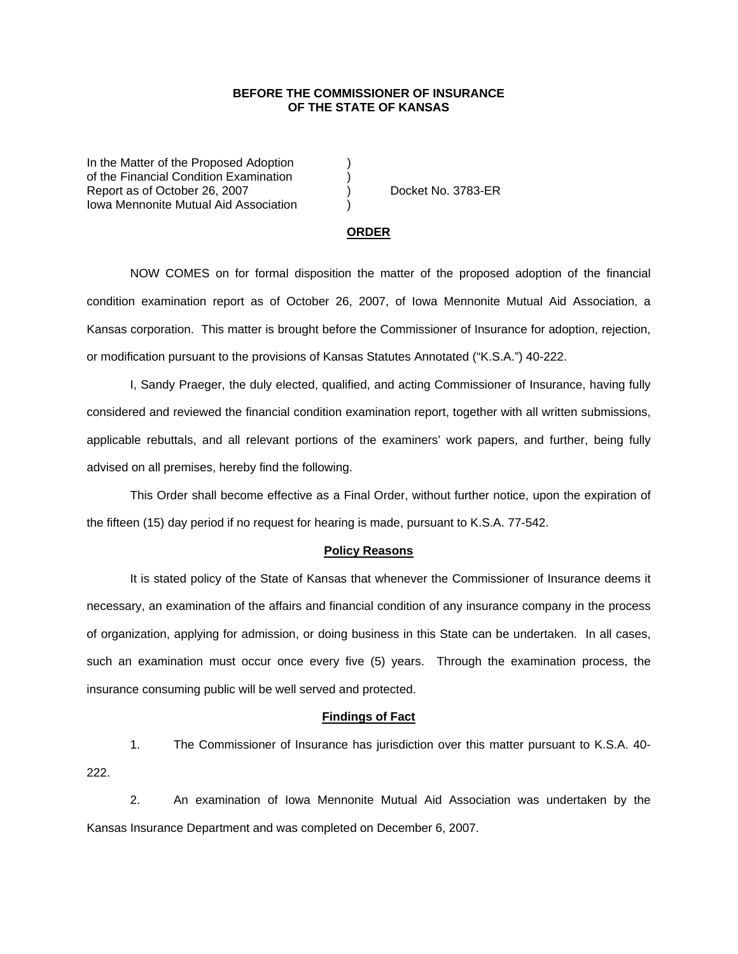## **BEFORE THE COMMISSIONER OF INSURANCE OF THE STATE OF KANSAS**

In the Matter of the Proposed Adoption of the Financial Condition Examination ) Report as of October 26, 2007 (and Contact Area Docket No. 3783-ER Iowa Mennonite Mutual Aid Association )

#### **ORDER**

 NOW COMES on for formal disposition the matter of the proposed adoption of the financial condition examination report as of October 26, 2007, of Iowa Mennonite Mutual Aid Association, a Kansas corporation. This matter is brought before the Commissioner of Insurance for adoption, rejection, or modification pursuant to the provisions of Kansas Statutes Annotated ("K.S.A.") 40-222.

 I, Sandy Praeger, the duly elected, qualified, and acting Commissioner of Insurance, having fully considered and reviewed the financial condition examination report, together with all written submissions, applicable rebuttals, and all relevant portions of the examiners' work papers, and further, being fully advised on all premises, hereby find the following.

This Order shall become effective as a Final Order, without further notice, upon the expiration of the fifteen (15) day period if no request for hearing is made, pursuant to K.S.A. 77-542.

### **Policy Reasons**

 It is stated policy of the State of Kansas that whenever the Commissioner of Insurance deems it necessary, an examination of the affairs and financial condition of any insurance company in the process of organization, applying for admission, or doing business in this State can be undertaken. In all cases, such an examination must occur once every five (5) years. Through the examination process, the insurance consuming public will be well served and protected.

#### **Findings of Fact**

 1. The Commissioner of Insurance has jurisdiction over this matter pursuant to K.S.A. 40- 222.

 2. An examination of Iowa Mennonite Mutual Aid Association was undertaken by the Kansas Insurance Department and was completed on December 6, 2007.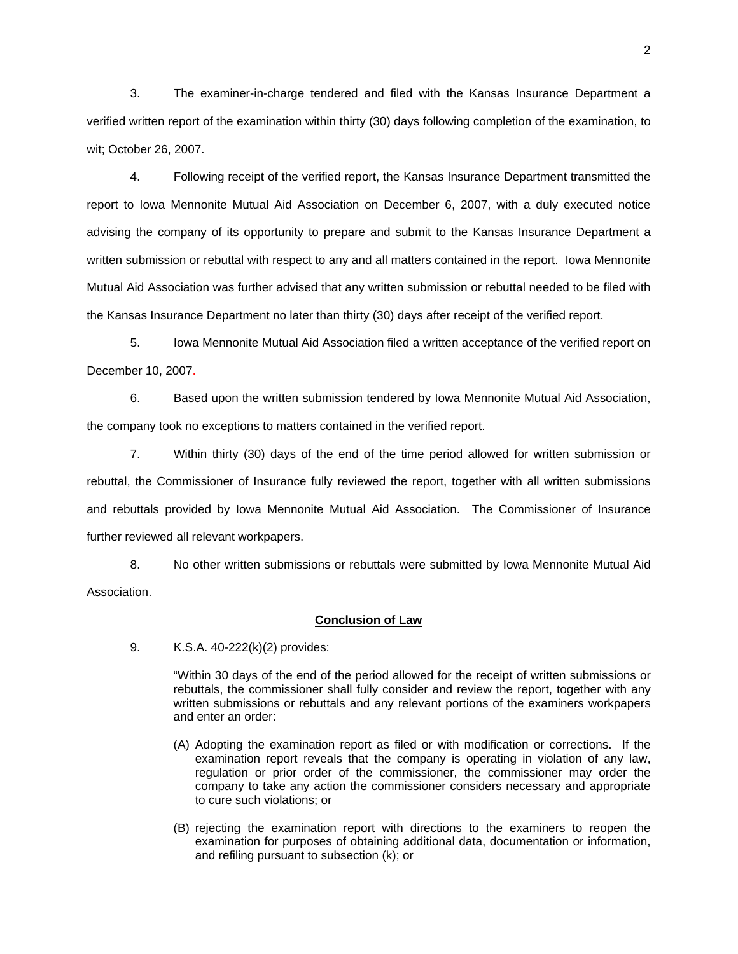3. The examiner-in-charge tendered and filed with the Kansas Insurance Department a verified written report of the examination within thirty (30) days following completion of the examination, to wit; October 26, 2007.

 4. Following receipt of the verified report, the Kansas Insurance Department transmitted the report to Iowa Mennonite Mutual Aid Association on December 6, 2007, with a duly executed notice advising the company of its opportunity to prepare and submit to the Kansas Insurance Department a written submission or rebuttal with respect to any and all matters contained in the report. Iowa Mennonite Mutual Aid Association was further advised that any written submission or rebuttal needed to be filed with the Kansas Insurance Department no later than thirty (30) days after receipt of the verified report.

 5. Iowa Mennonite Mutual Aid Association filed a written acceptance of the verified report on December 10, 2007.

6. Based upon the written submission tendered by Iowa Mennonite Mutual Aid Association, the company took no exceptions to matters contained in the verified report.

 7. Within thirty (30) days of the end of the time period allowed for written submission or rebuttal, the Commissioner of Insurance fully reviewed the report, together with all written submissions and rebuttals provided by Iowa Mennonite Mutual Aid Association. The Commissioner of Insurance further reviewed all relevant workpapers.

 8. No other written submissions or rebuttals were submitted by Iowa Mennonite Mutual Aid Association.

#### **Conclusion of Law**

9. K.S.A. 40-222(k)(2) provides:

"Within 30 days of the end of the period allowed for the receipt of written submissions or rebuttals, the commissioner shall fully consider and review the report, together with any written submissions or rebuttals and any relevant portions of the examiners workpapers and enter an order:

- (A) Adopting the examination report as filed or with modification or corrections. If the examination report reveals that the company is operating in violation of any law, regulation or prior order of the commissioner, the commissioner may order the company to take any action the commissioner considers necessary and appropriate to cure such violations; or
- (B) rejecting the examination report with directions to the examiners to reopen the examination for purposes of obtaining additional data, documentation or information, and refiling pursuant to subsection (k); or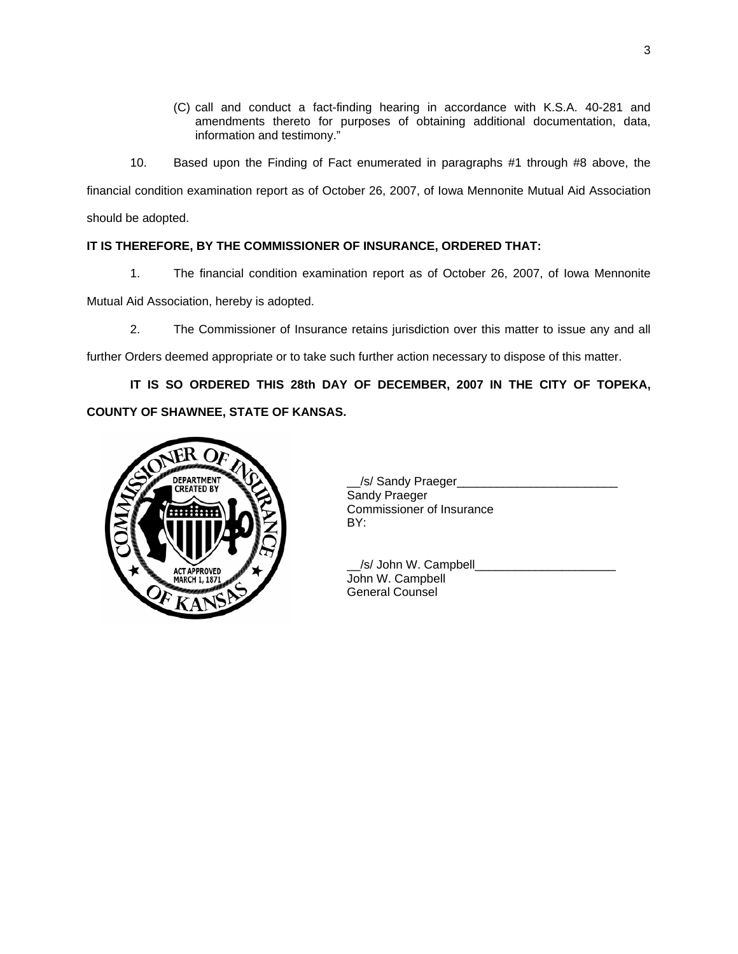- (C) call and conduct a fact-finding hearing in accordance with K.S.A. 40-281 and amendments thereto for purposes of obtaining additional documentation, data, information and testimony."
- 10. Based upon the Finding of Fact enumerated in paragraphs #1 through #8 above, the

financial condition examination report as of October 26, 2007, of Iowa Mennonite Mutual Aid Association should be adopted.

# **IT IS THEREFORE, BY THE COMMISSIONER OF INSURANCE, ORDERED THAT:**

1. The financial condition examination report as of October 26, 2007, of Iowa Mennonite

Mutual Aid Association, hereby is adopted.

2. The Commissioner of Insurance retains jurisdiction over this matter to issue any and all

further Orders deemed appropriate or to take such further action necessary to dispose of this matter.

**IT IS SO ORDERED THIS 28th DAY OF DECEMBER, 2007 IN THE CITY OF TOPEKA, COUNTY OF SHAWNEE, STATE OF KANSAS.** 



Sandy Praeger Commissioner of Insurance

 \_\_/s/ John W. Campbell\_\_\_\_\_\_\_\_\_\_\_\_\_\_\_\_\_\_\_\_\_ General Counsel